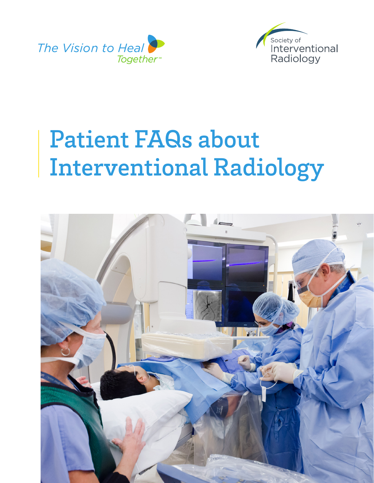



# Patient FAQs about Interventional Radiology